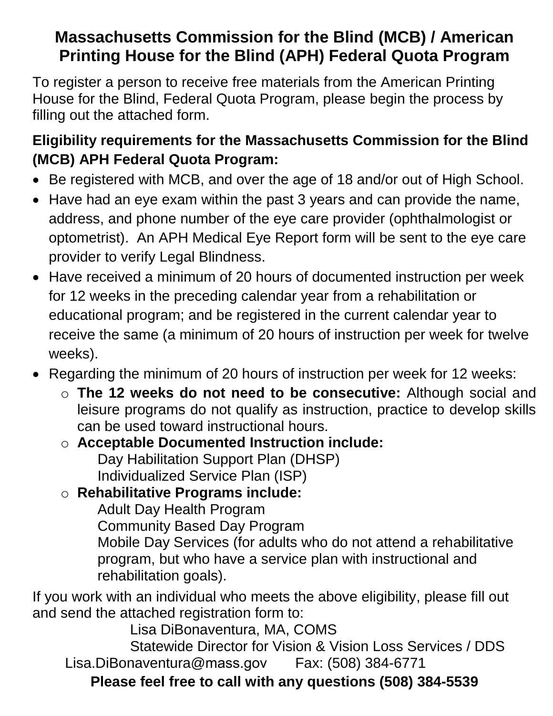# **Massachusetts Commission for the Blind (MCB) / American Printing House for the Blind (APH) Federal Quota Program**

To register a person to receive free materials from the American Printing House for the Blind, Federal Quota Program, please begin the process by filling out the attached form.

# **Eligibility requirements for the Massachusetts Commission for the Blind (MCB) APH Federal Quota Program:**

- Be registered with MCB, and over the age of 18 and/or out of High School.
- Have had an eye exam within the past 3 years and can provide the name, address, and phone number of the eye care provider (ophthalmologist or optometrist). An APH Medical Eye Report form will be sent to the eye care provider to verify Legal Blindness.
- Have received a minimum of 20 hours of documented instruction per week for 12 weeks in the preceding calendar year from a rehabilitation or educational program; and be registered in the current calendar year to receive the same (a minimum of 20 hours of instruction per week for twelve weeks).
- Regarding the minimum of 20 hours of instruction per week for 12 weeks:
	- o **The 12 weeks do not need to be consecutive:** Although social and leisure programs do not qualify as instruction, practice to develop skills can be used toward instructional hours.

## o **Acceptable Documented Instruction include:** Day Habilitation Support Plan (DHSP) Individualized Service Plan (ISP)

## o **Rehabilitative Programs include:**

Adult Day Health Program

Community Based Day Program

Mobile Day Services (for adults who do not attend a rehabilitative program, but who have a service plan with instructional and rehabilitation goals).

If you work with an individual who meets the above eligibility, please fill out and send the attached registration form to:

Lisa DiBonaventura, MA, COMS

Statewide Director for Vision & Vision Loss Services / DDS [Lisa.DiBonaventura@](mailto: lisa.dibonaventura@mass.gov)mass.gov Fax: (508) 384-6771

**Please feel free to call with any questions (508) 384-5539**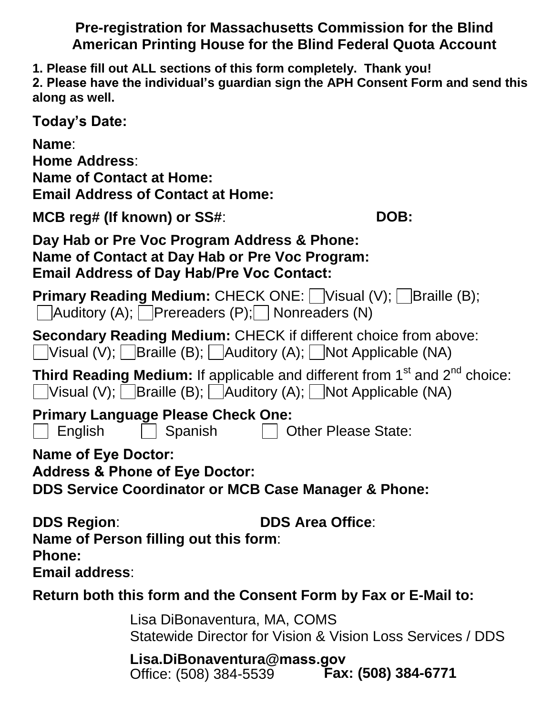### **Pre-registration for Massachusetts Commission for the Blind American Printing House for the Blind Federal Quota Account**

**1. Please fill out ALL sections of this form completely. Thank you!**

**2. Please have the individual's guardian sign the APH Consent Form and send this along as well.**

**Today's Date:** 

**Name**:

**Home Address**: **Name of Contact at Home: Email Address of Contact at Home:** 

**MCB reg# (If known) or SS#: DOB: DOB:** 

**Day Hab or Pre Voc Program Address & Phone: Name of Contact at Day Hab or Pre Voc Program: Email Address of Day Hab/Pre Voc Contact:**

**Primary Reading Medium: CHECK ONE:** Visual (V); Braille (B);  $\Box$  Auditory (A); Prereaders (P); Nonreaders (N)

**Secondary Reading Medium:** CHECK if different choice from above: Visual (V);  $\Box$  Braille (B);  $\Box$  Auditory (A);  $\Box$  Not Applicable (NA)

**Third Reading Medium:** If applicable and different from 1<sup>st</sup> and 2<sup>nd</sup> choice:  $\Box$ Visual (V);  $\Box$ Braille (B);  $\Box$ Auditory (A);  $\Box$ Not Applicable (NA)

**Primary Language Please Check One:** 

 $\Box$  English  $\Box$  Spanish  $\Box$  Other Please State:

**Name of Eye Doctor:** 

**Address & Phone of Eye Doctor:**

**DDS Service Coordinator or MCB Case Manager & Phone:** 

**DDS Region**: **DDS Area Office**: **Name of Person filling out this form**:

**Phone:** 

**Email address**:

**Return both this form and the Consent Form by Fax or E-Mail to:**

Lisa DiBonaventura, MA, COMS Statewide Director for Vision & Vision Loss Services / DDS

**[Lisa.DiBonaventura@](mailto: lisa.dibonaventura@mass.gov)mass.gov** Office: (508) 384-5539 **Fax: (508) 384-6771**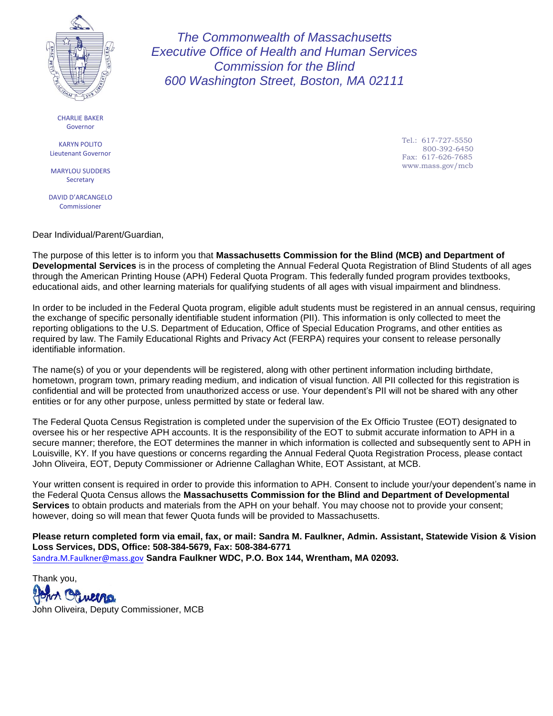

CHARLIE BAKER Governor

KARYN POLITO Lieutenant Governor

MARYLOU SUDDERS **Secretary** 

DAVID D'ARCANGELO Commissioner

Dear Individual/Parent/Guardian,

The purpose of this letter is to inform you that **Massachusetts Commission for the Blind (MCB) and Department of Developmental Services** is in the process of completing the Annual Federal Quota Registration of Blind Students of all ages through the American Printing House (APH) Federal Quota Program. This federally funded program provides textbooks, educational aids, and other learning materials for qualifying students of all ages with visual impairment and blindness.

*The Commonwealth of Massachusetts Executive Office of Health and Human Services Commission for the Blind 600 Washington Street, Boston, MA 02111* 

In order to be included in the Federal Quota program, eligible adult students must be registered in an annual census, requiring the exchange of specific personally identifiable student information (PII). This information is only collected to meet the reporting obligations to the U.S. Department of Education, Office of Special Education Programs, and other entities as required by law. The Family Educational Rights and Privacy Act (FERPA) requires your consent to release personally identifiable information.

The name(s) of you or your dependents will be registered, along with other pertinent information including birthdate, hometown, program town, primary reading medium, and indication of visual function. All PII collected for this registration is confidential and will be protected from unauthorized access or use. Your dependent's PII will not be shared with any other entities or for any other purpose, unless permitted by state or federal law.

The Federal Quota Census Registration is completed under the supervision of the Ex Officio Trustee (EOT) designated to oversee his or her respective APH accounts. It is the responsibility of the EOT to submit accurate information to APH in a secure manner; therefore, the EOT determines the manner in which information is collected and subsequently sent to APH in Louisville, KY. If you have questions or concerns regarding the Annual Federal Quota Registration Process, please contact John Oliveira, EOT, Deputy Commissioner or Adrienne Callaghan White, EOT Assistant, at MCB.

Your written consent is required in order to provide this information to APH. Consent to include your/your dependent's name in the Federal Quota Census allows the **Massachusetts Commission for the Blind and Department of Developmental Services** to obtain products and materials from the APH on your behalf. You may choose not to provide your consent; however, doing so will mean that fewer Quota funds will be provided to Massachusetts.

**Please return completed form via email, fax, or mail: Sandra M. Faulkner, Admin. Assistant, Statewide Vision & Vision Loss Services, DDS, Office: 508-384-5679, Fax: 508-384-6771**  [Sandra.M.Faulkner@](mailto:Sandra.M.Faulkner@MassMail.State.MA.US)mass.gov **Sandra Faulkner WDC, P.O. Box 144, Wrentham, MA 02093.**

Thank you, John Oliveira, Deputy Commissioner, MCB

Tel.: 617-727-5550 800-392-6450 Fax: 617-626-7685 www.mass.gov/mcb